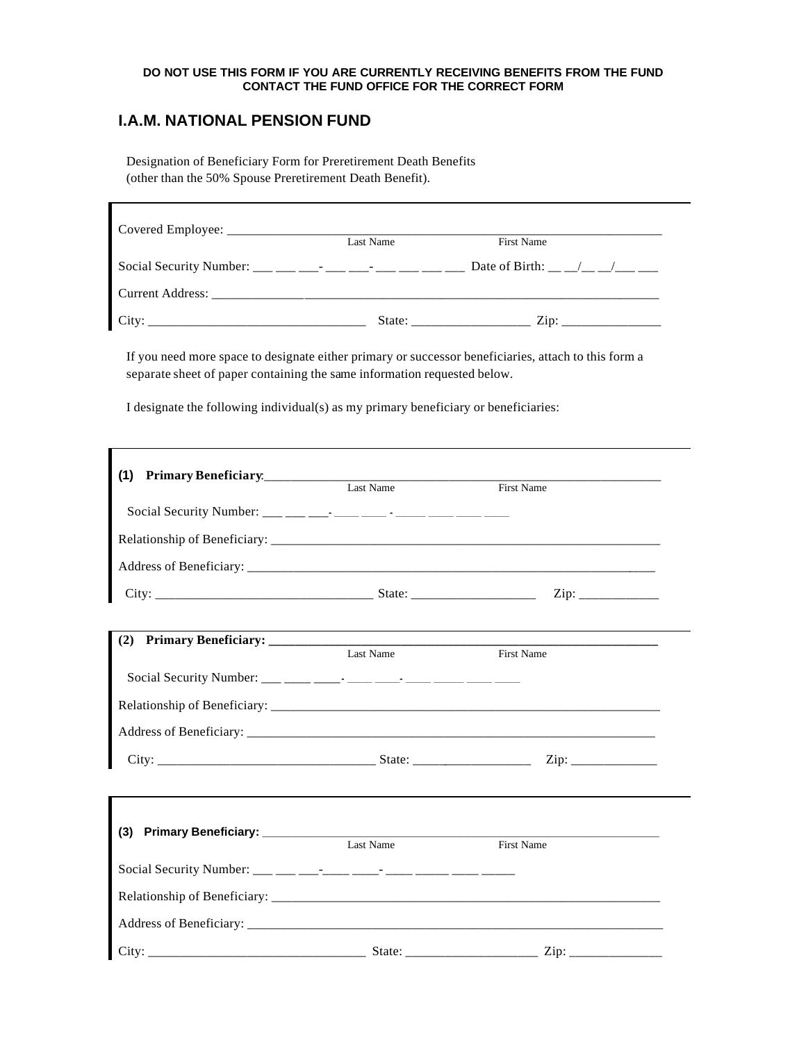## **DO NOT USE THIS FORM IF YOU ARE CURRENTLY RECEIVING BENEFITS FROM THE FUND CONTACT THE FUND OFFICE FOR THE CORRECT FORM**

## **I.A.M. NATIONAL PENSION FUND**

Designation of Beneficiary Form for Preretirement Death Benefits (other than the 50% Spouse Preretirement Death Benefit).

|       | Last Name | <b>First Name</b>              |
|-------|-----------|--------------------------------|
|       |           | Date of Birth: __ _/__ _/__ __ |
|       |           |                                |
| City: | State:    | $\overline{\mathrm{Zip:}}$     |

If you need more space to designate either primary or successor beneficiaries, attach to this form a separate sheet of paper containing the same information requested below.

I designate the following individual(s) as my primary beneficiary or beneficiaries:

| (1)                               |           |                   |
|-----------------------------------|-----------|-------------------|
| Primary Beneficiary.<br>Last Name |           | <b>First Name</b> |
|                                   |           |                   |
|                                   |           |                   |
|                                   |           |                   |
|                                   |           |                   |
|                                   |           |                   |
| (2)                               |           | First Name        |
|                                   |           |                   |
|                                   |           |                   |
|                                   |           |                   |
|                                   |           |                   |
|                                   |           |                   |
|                                   |           |                   |
| (3)                               | Last Name | <b>First Name</b> |
|                                   |           |                   |
|                                   |           |                   |
|                                   |           |                   |
|                                   |           |                   |